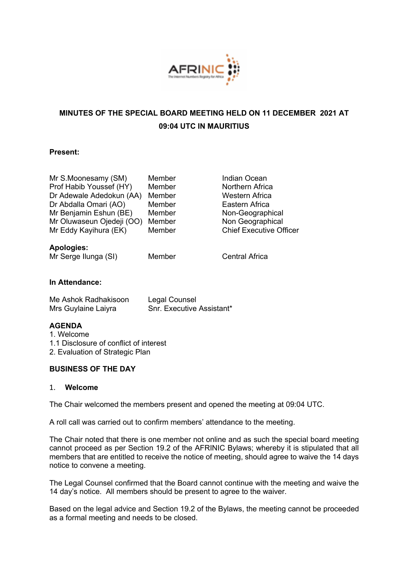

# **MINUTES OF THE SPECIAL BOARD MEETING HELD ON 11 DECEMBER 2021 AT 09:04 UTC IN MAURITIUS**

### **Present:**

| Mr S.Moonesamy (SM)       | Member | <b>Indian Ocean</b>            |
|---------------------------|--------|--------------------------------|
| Prof Habib Youssef (HY)   | Member | Northern Africa                |
| Dr Adewale Adedokun (AA)  | Member | Western Africa                 |
| Dr Abdalla Omari (AO)     | Member | Eastern Africa                 |
| Mr Benjamin Eshun (BE)    | Member | Non-Geographical               |
| Mr Oluwaseun Ojedeji (OO) | Member | Non Geographical               |
| Mr Eddy Kayihura (EK)     | Member | <b>Chief Executive Officer</b> |
| <b>Apologies:</b>         |        |                                |
| Mr Serge Ilunga (SI)      | Member | <b>Central Africa</b>          |
|                           |        |                                |
|                           |        |                                |

# **In Attendance:**

| Me Ashok Radhakisoon | Legal Counsel                    |
|----------------------|----------------------------------|
| Mrs Guylaine Laiyra  | <b>Snr. Executive Assistant*</b> |

#### **AGENDA**

1. Welcome

1.1 Disclosure of conflict of interest

2. Evaluation of Strategic Plan

#### **BUSINESS OF THE DAY**

#### 1. **Welcome**

The Chair welcomed the members present and opened the meeting at 09:04 UTC.

A roll call was carried out to confirm members' attendance to the meeting.

The Chair noted that there is one member not online and as such the special board meeting cannot proceed as per Section 19.2 of the AFRINIC Bylaws; whereby it is stipulated that all members that are entitled to receive the notice of meeting, should agree to waive the 14 days notice to convene a meeting.

The Legal Counsel confirmed that the Board cannot continue with the meeting and waive the 14 day's notice. All members should be present to agree to the waiver.

Based on the legal advice and Section 19.2 of the Bylaws, the meeting cannot be proceeded as a formal meeting and needs to be closed.